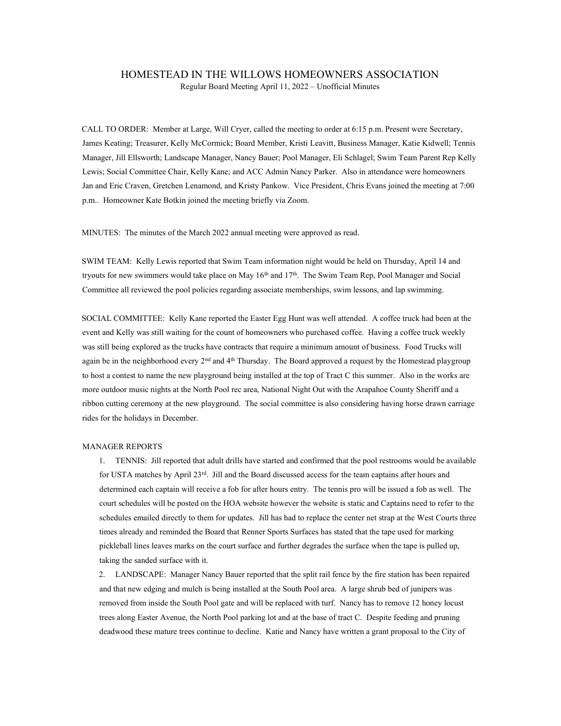## HOMESTEAD IN THE WILLOWS HOMEOWNERS ASSOCIATION

Regular Board Meeting April 11, 2022 – Unofficial Minutes

CALL TO ORDER: Member at Large, Will Cryer, called the meeting to order at 6:15 p.m. Present were Secretary, James Keating; Treasurer, Kelly McCormick; Board Member, Kristi Leavitt, Business Manager, Katie Kidwell; Tennis Manager, Jill Ellsworth; Landscape Manager, Nancy Bauer; Pool Manager, Eli Schlagel; Swim Team Parent Rep Kelly Lewis; Social Committee Chair, Kelly Kane; and ACC Admin Nancy Parker. Also in attendance were homeowners Jan and Eric Craven, Gretchen Lenamond, and Kristy Pankow. Vice President, Chris Evans joined the meeting at 7:00 p.m.. Homeowner Kate Botkin joined the meeting briefly via Zoom.

MINUTES: The minutes of the March 2022 annual meeting were approved as read.

SWIM TEAM: Kelly Lewis reported that Swim Team information night would be held on Thursday, April 14 and tryouts for new swimmers would take place on May 16<sup>th</sup> and 17<sup>th</sup>. The Swim Team Rep, Pool Manager and Social Committee all reviewed the pool policies regarding associate memberships, swim lessons, and lap swimming.

SOCIAL COMMITTEE: Kelly Kane reported the Easter Egg Hunt was well attended. A coffee truck had been at the event and Kelly was still waiting for the count of homeowners who purchased coffee. Having a coffee truck weekly was still being explored as the trucks have contracts that require a minimum amount of business. Food Trucks will again be in the neighborhood every 2<sup>nd</sup> and 4<sup>th</sup> Thursday. The Board approved a request by the Homestead playgroup to host a contest to name the new playground being installed at the top of Tract C this summer. Also in the works are more outdoor music nights at the North Pool rec area, National Night Out with the Arapahoe County Sheriff and a ribbon cutting ceremony at the new playground. The social committee is also considering having horse drawn carriage rides for the holidays in December.

## MANAGER REPORTS

1. TENNIS: Jill reported that adult drills have started and confirmed that the pool restrooms would be available for USTA matches by April 23<sup>rd</sup>. Jill and the Board discussed access for the team captains after hours and determined each captain will receive a fob for after hours entry. The tennis pro will be issued a fob as well. The court schedules will be posted on the HOA website however the website is static and Captains need to refer to the schedules emailed directly to them for updates. Jill has had to replace the center net strap at the West Courts three times already and reminded the Board that Renner Sports Surfaces has stated that the tape used for marking pickleball lines leaves marks on the court surface and further degrades the surface when the tape is pulled up, taking the sanded surface with it.

2. LANDSCAPE: Manager Nancy Bauer reported that the split rail fence by the fire station has been repaired and that new edging and mulch is being installed at the South Pool area. A large shrub bed of junipers was removed from inside the South Pool gate and will be replaced with turf. Nancy has to remove 12 honey locust trees along Easter Avenue, the North Pool parking lot and at the base of tract C. Despite feeding and pruning deadwood these mature trees continue to decline. Katie and Nancy have written a grant proposal to the City of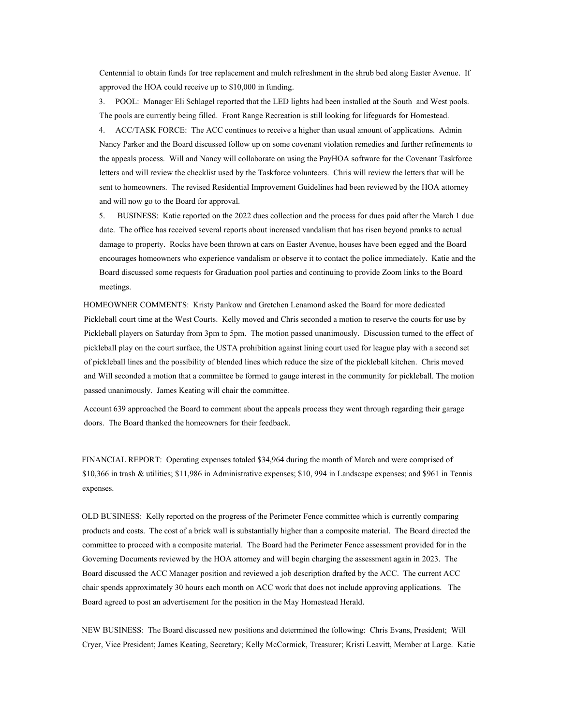Centennial to obtain funds for tree replacement and mulch refreshment in the shrub bed along Easter Avenue. If approved the HOA could receive up to \$10,000 in funding.

3. POOL: Manager Eli Schlagel reported that the LED lights had been installed at the South and West pools. The pools are currently being filled. Front Range Recreation is still looking for lifeguards for Homestead.

4. ACC/TASK FORCE: The ACC continues to receive a higher than usual amount of applications. Admin Nancy Parker and the Board discussed follow up on some covenant violation remedies and further refinements to the appeals process. Will and Nancy will collaborate on using the PayHOA software for the Covenant Taskforce letters and will review the checklist used by the Taskforce volunteers. Chris will review the letters that will be sent to homeowners. The revised Residential Improvement Guidelines had been reviewed by the HOA attorney and will now go to the Board for approval.

5. BUSINESS: Katie reported on the 2022 dues collection and the process for dues paid after the March 1 due date. The office has received several reports about increased vandalism that has risen beyond pranks to actual damage to property. Rocks have been thrown at cars on Easter Avenue, houses have been egged and the Board encourages homeowners who experience vandalism or observe it to contact the police immediately. Katie and the Board discussed some requests for Graduation pool parties and continuing to provide Zoom links to the Board meetings.

HOMEOWNER COMMENTS: Kristy Pankow and Gretchen Lenamond asked the Board for more dedicated Pickleball court time at the West Courts. Kelly moved and Chris seconded a motion to reserve the courts for use by Pickleball players on Saturday from 3pm to 5pm. The motion passed unanimously. Discussion turned to the effect of pickleball play on the court surface, the USTA prohibition against lining court used for league play with a second set of pickleball lines and the possibility of blended lines which reduce the size of the pickleball kitchen. Chris moved and Will seconded a motion that a committee be formed to gauge interest in the community for pickleball. The motion passed unanimously. James Keating will chair the committee.

Account 639 approached the Board to comment about the appeals process they went through regarding their garage doors. The Board thanked the homeowners for their feedback.

FINANCIAL REPORT: Operating expenses totaled \$34,964 during the month of March and were comprised of \$10,366 in trash & utilities; \$11,986 in Administrative expenses; \$10, 994 in Landscape expenses; and \$961 in Tennis expenses.

OLD BUSINESS: Kelly reported on the progress of the Perimeter Fence committee which is currently comparing products and costs. The cost of a brick wall is substantially higher than a composite material. The Board directed the committee to proceed with a composite material. The Board had the Perimeter Fence assessment provided for in the Governing Documents reviewed by the HOA attorney and will begin charging the assessment again in 2023. The Board discussed the ACC Manager position and reviewed a job description drafted by the ACC. The current ACC chair spends approximately 30 hours each month on ACC work that does not include approving applications. The Board agreed to post an advertisement for the position in the May Homestead Herald.

NEW BUSINESS: The Board discussed new positions and determined the following: Chris Evans, President; Will Cryer, Vice President; James Keating, Secretary; Kelly McCormick, Treasurer; Kristi Leavitt, Member at Large. Katie